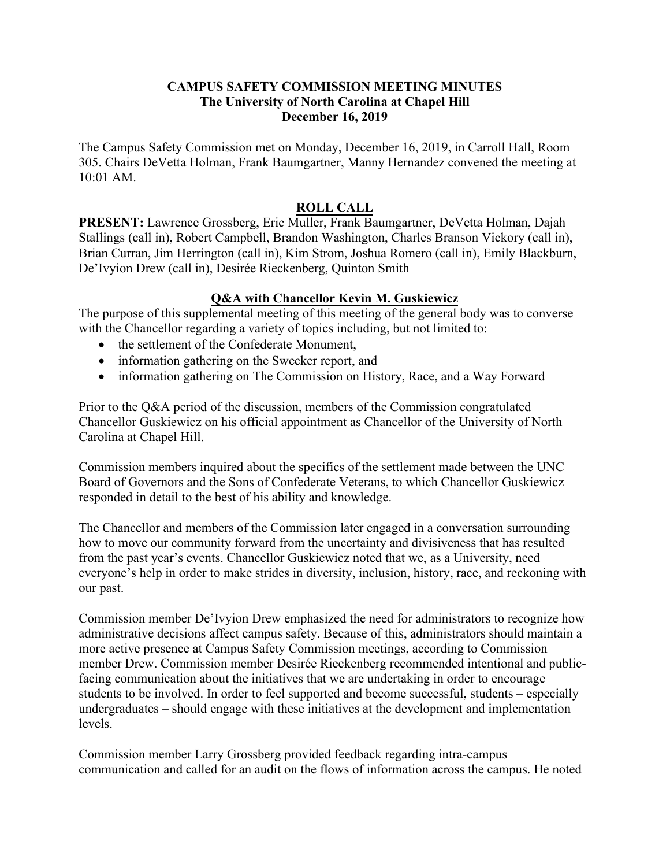## **CAMPUS SAFETY COMMISSION MEETING MINUTES The University of North Carolina at Chapel Hill December 16, 2019**

The Campus Safety Commission met on Monday, December 16, 2019, in Carroll Hall, Room 305. Chairs DeVetta Holman, Frank Baumgartner, Manny Hernandez convened the meeting at 10:01 AM.

## **ROLL CALL**

**PRESENT:** Lawrence Grossberg, Eric Muller, Frank Baumgartner, DeVetta Holman, Dajah Stallings (call in), Robert Campbell, Brandon Washington, Charles Branson Vickory (call in), Brian Curran, Jim Herrington (call in), Kim Strom, Joshua Romero (call in), Emily Blackburn, De'Ivyion Drew (call in), Desirée Rieckenberg, Quinton Smith

## **Q&A with Chancellor Kevin M. Guskiewicz**

The purpose of this supplemental meeting of this meeting of the general body was to converse with the Chancellor regarding a variety of topics including, but not limited to:

- the settlement of the Confederate Monument,
- information gathering on the Swecker report, and
- information gathering on The Commission on History, Race, and a Way Forward

Prior to the Q&A period of the discussion, members of the Commission congratulated Chancellor Guskiewicz on his official appointment as Chancellor of the University of North Carolina at Chapel Hill.

Commission members inquired about the specifics of the settlement made between the UNC Board of Governors and the Sons of Confederate Veterans, to which Chancellor Guskiewicz responded in detail to the best of his ability and knowledge.

The Chancellor and members of the Commission later engaged in a conversation surrounding how to move our community forward from the uncertainty and divisiveness that has resulted from the past year's events. Chancellor Guskiewicz noted that we, as a University, need everyone's help in order to make strides in diversity, inclusion, history, race, and reckoning with our past.

Commission member De'Ivyion Drew emphasized the need for administrators to recognize how administrative decisions affect campus safety. Because of this, administrators should maintain a more active presence at Campus Safety Commission meetings, according to Commission member Drew. Commission member Desirée Rieckenberg recommended intentional and publicfacing communication about the initiatives that we are undertaking in order to encourage students to be involved. In order to feel supported and become successful, students – especially undergraduates – should engage with these initiatives at the development and implementation levels.

Commission member Larry Grossberg provided feedback regarding intra-campus communication and called for an audit on the flows of information across the campus. He noted